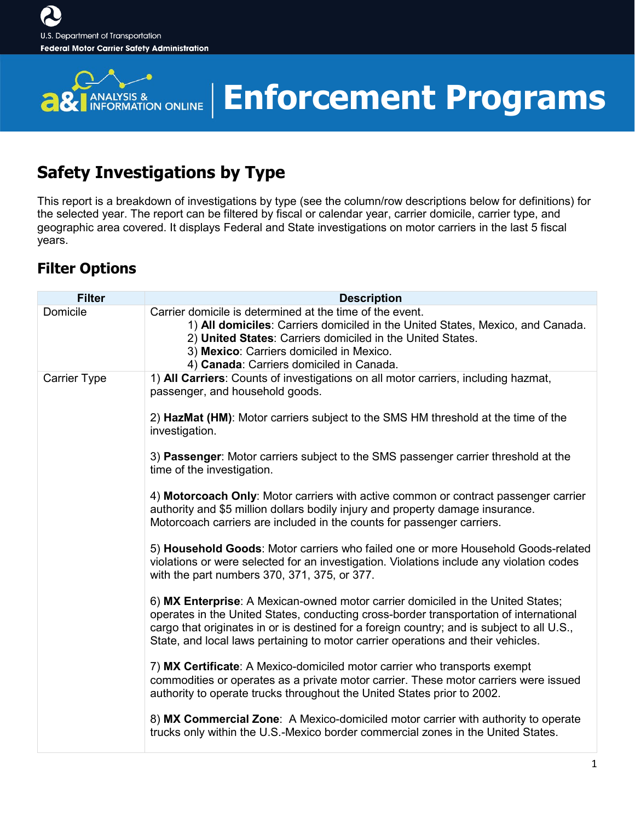

# **Enforcement Programs**

### **Safety Investigations by Type**

This report is a breakdown of investigations by type (see the column/row descriptions below for definitions) for the selected year. The report can be filtered by fiscal or calendar year, carrier domicile, carrier type, and geographic area covered. It displays Federal and State investigations on motor carriers in the last 5 fiscal years.

### **Filter Options**

| <b>Filter</b>       | <b>Description</b>                                                                                                                                                                                                                                                                                                                                          |
|---------------------|-------------------------------------------------------------------------------------------------------------------------------------------------------------------------------------------------------------------------------------------------------------------------------------------------------------------------------------------------------------|
| Domicile            | Carrier domicile is determined at the time of the event.<br>1) All domiciles: Carriers domiciled in the United States, Mexico, and Canada.<br>2) United States: Carriers domiciled in the United States.<br>3) Mexico: Carriers domiciled in Mexico.<br>4) Canada: Carriers domiciled in Canada.                                                            |
| <b>Carrier Type</b> | 1) All Carriers: Counts of investigations on all motor carriers, including hazmat,<br>passenger, and household goods.                                                                                                                                                                                                                                       |
|                     | 2) HazMat (HM): Motor carriers subject to the SMS HM threshold at the time of the<br>investigation.                                                                                                                                                                                                                                                         |
|                     | 3) Passenger: Motor carriers subject to the SMS passenger carrier threshold at the<br>time of the investigation.                                                                                                                                                                                                                                            |
|                     | 4) Motorcoach Only: Motor carriers with active common or contract passenger carrier<br>authority and \$5 million dollars bodily injury and property damage insurance.<br>Motorcoach carriers are included in the counts for passenger carriers.                                                                                                             |
|                     | 5) Household Goods: Motor carriers who failed one or more Household Goods-related<br>violations or were selected for an investigation. Violations include any violation codes<br>with the part numbers 370, 371, 375, or 377.                                                                                                                               |
|                     | 6) MX Enterprise: A Mexican-owned motor carrier domiciled in the United States;<br>operates in the United States, conducting cross-border transportation of international<br>cargo that originates in or is destined for a foreign country; and is subject to all U.S.,<br>State, and local laws pertaining to motor carrier operations and their vehicles. |
|                     | 7) MX Certificate: A Mexico-domiciled motor carrier who transports exempt<br>commodities or operates as a private motor carrier. These motor carriers were issued<br>authority to operate trucks throughout the United States prior to 2002.                                                                                                                |
|                     | 8) MX Commercial Zone: A Mexico-domiciled motor carrier with authority to operate<br>trucks only within the U.S.-Mexico border commercial zones in the United States.                                                                                                                                                                                       |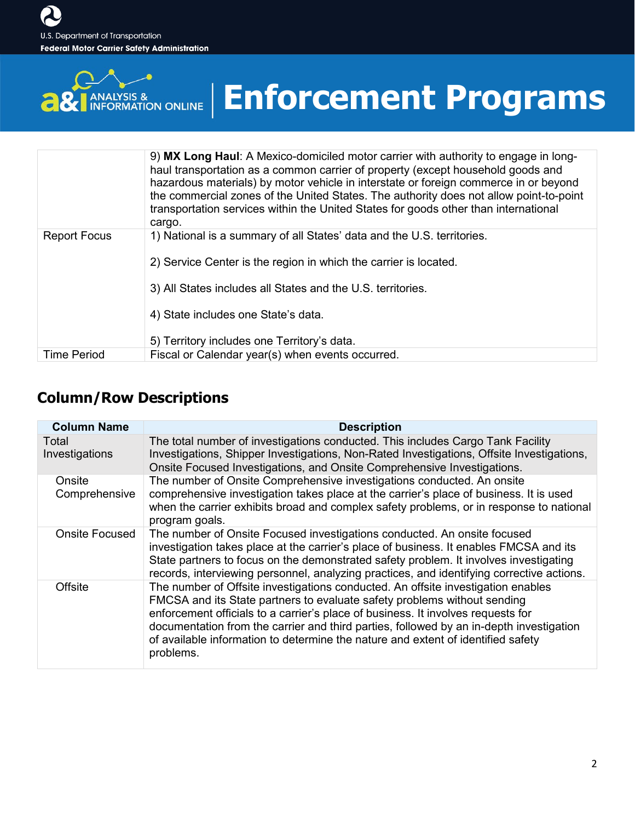

# **Enforcement Programs**

|                     | 9) MX Long Haul: A Mexico-domiciled motor carrier with authority to engage in long-<br>haul transportation as a common carrier of property (except household goods and<br>hazardous materials) by motor vehicle in interstate or foreign commerce in or beyond<br>the commercial zones of the United States. The authority does not allow point-to-point<br>transportation services within the United States for goods other than international<br>cargo. |
|---------------------|-----------------------------------------------------------------------------------------------------------------------------------------------------------------------------------------------------------------------------------------------------------------------------------------------------------------------------------------------------------------------------------------------------------------------------------------------------------|
| <b>Report Focus</b> | 1) National is a summary of all States' data and the U.S. territories.                                                                                                                                                                                                                                                                                                                                                                                    |
|                     | 2) Service Center is the region in which the carrier is located.                                                                                                                                                                                                                                                                                                                                                                                          |
|                     | 3) All States includes all States and the U.S. territories.                                                                                                                                                                                                                                                                                                                                                                                               |
|                     | 4) State includes one State's data.                                                                                                                                                                                                                                                                                                                                                                                                                       |
|                     | 5) Territory includes one Territory's data.                                                                                                                                                                                                                                                                                                                                                                                                               |
| <b>Time Period</b>  | Fiscal or Calendar year(s) when events occurred.                                                                                                                                                                                                                                                                                                                                                                                                          |

#### **Column/Row Descriptions**

| <b>Column Name</b>      | <b>Description</b>                                                                                                                                                                                                                                                                                                                                                                                                                           |
|-------------------------|----------------------------------------------------------------------------------------------------------------------------------------------------------------------------------------------------------------------------------------------------------------------------------------------------------------------------------------------------------------------------------------------------------------------------------------------|
| Total<br>Investigations | The total number of investigations conducted. This includes Cargo Tank Facility<br>Investigations, Shipper Investigations, Non-Rated Investigations, Offsite Investigations,<br>Onsite Focused Investigations, and Onsite Comprehensive Investigations.                                                                                                                                                                                      |
| Onsite<br>Comprehensive | The number of Onsite Comprehensive investigations conducted. An onsite<br>comprehensive investigation takes place at the carrier's place of business. It is used<br>when the carrier exhibits broad and complex safety problems, or in response to national<br>program goals.                                                                                                                                                                |
| <b>Onsite Focused</b>   | The number of Onsite Focused investigations conducted. An onsite focused<br>investigation takes place at the carrier's place of business. It enables FMCSA and its<br>State partners to focus on the demonstrated safety problem. It involves investigating<br>records, interviewing personnel, analyzing practices, and identifying corrective actions.                                                                                     |
| <b>Offsite</b>          | The number of Offsite investigations conducted. An offsite investigation enables<br>FMCSA and its State partners to evaluate safety problems without sending<br>enforcement officials to a carrier's place of business. It involves requests for<br>documentation from the carrier and third parties, followed by an in-depth investigation<br>of available information to determine the nature and extent of identified safety<br>problems. |